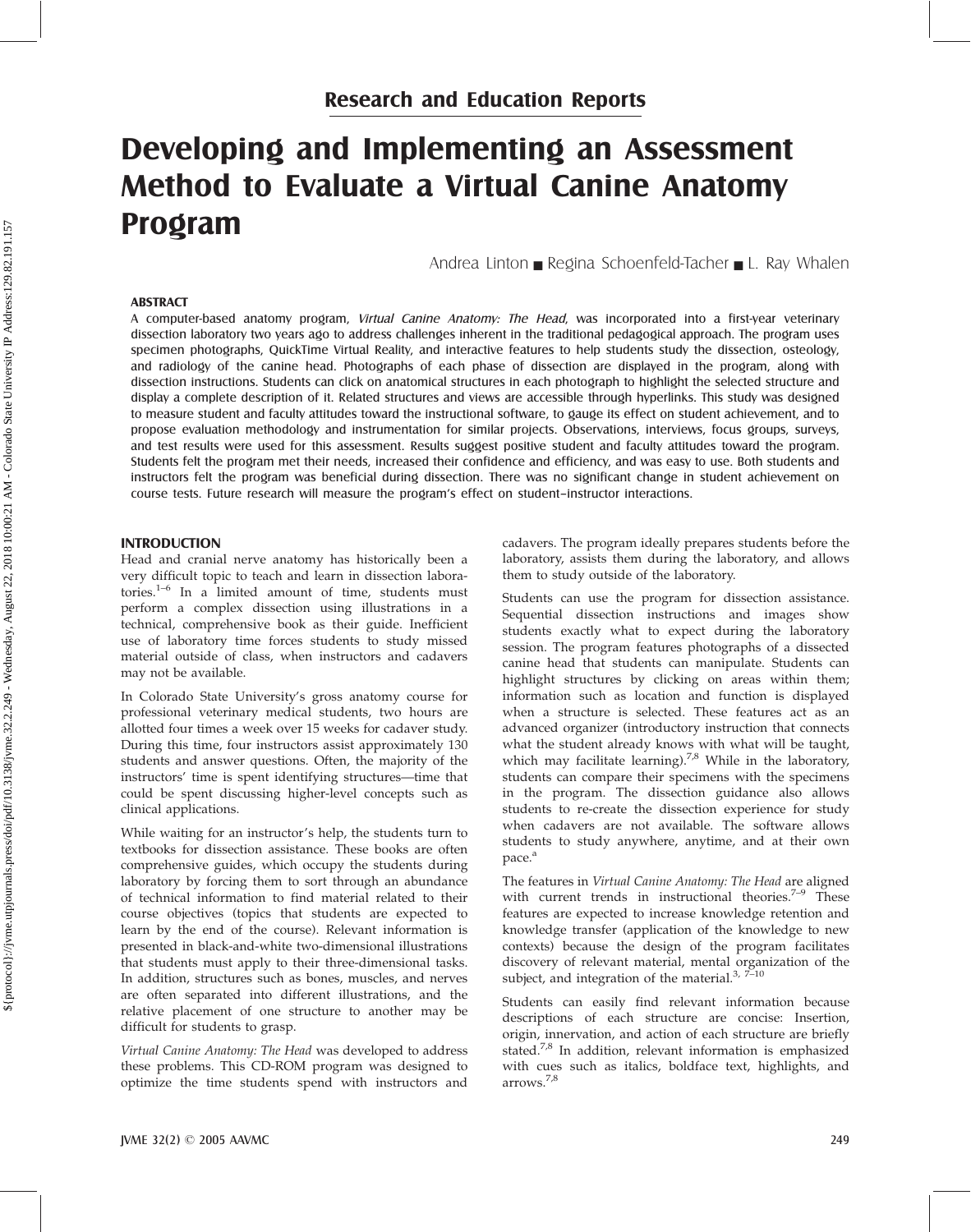# Developing and Implementing an Assessment Method to Evaluate a Virtual Canine Anatomy Program

Andrea Linton Regina Schoenfeld-Tacher L. Ray Whalen

## **ABSTRACT**

A computer-based anatomy program, Virtual Canine Anatomy: The Head, was incorporated into a first-year veterinary dissection laboratory two years ago to address challenges inherent in the traditional pedagogical approach. The program uses specimen photographs, QuickTime Virtual Reality, and interactive features to help students study the dissection, osteology, and radiology of the canine head. Photographs of each phase of dissection are displayed in the program, along with dissection instructions. Students can click on anatomical structures in each photograph to highlight the selected structure and display a complete description of it. Related structures and views are accessible through hyperlinks. This study was designed to measure student and faculty attitudes toward the instructional software, to gauge its effect on student achievement, and to propose evaluation methodology and instrumentation for similar projects. Observations, interviews, focus groups, surveys, and test results were used for this assessment. Results suggest positive student and faculty attitudes toward the program. Students felt the program met their needs, increased their confidence and efficiency, and was easy to use. Both students and instructors felt the program was beneficial during dissection. There was no significant change in student achievement on course tests. Future research will measure the program's effect on student–instructor interactions.

## INTRODUCTION

Head and cranial nerve anatomy has historically been a very difficult topic to teach and learn in dissection laboratories. $1-6$  In a limited amount of time, students must perform a complex dissection using illustrations in a technical, comprehensive book as their guide. Inefficient use of laboratory time forces students to study missed material outside of class, when instructors and cadavers may not be available.

In Colorado State University's gross anatomy course for professional veterinary medical students, two hours are allotted four times a week over 15 weeks for cadaver study. During this time, four instructors assist approximately 130 students and answer questions. Often, the majority of the instructors' time is spent identifying structures—time that could be spent discussing higher-level concepts such as clinical applications.

While waiting for an instructor's help, the students turn to textbooks for dissection assistance. These books are often comprehensive guides, which occupy the students during laboratory by forcing them to sort through an abundance of technical information to find material related to their course objectives (topics that students are expected to learn by the end of the course). Relevant information is presented in black-and-white two-dimensional illustrations that students must apply to their three-dimensional tasks. In addition, structures such as bones, muscles, and nerves are often separated into different illustrations, and the relative placement of one structure to another may be difficult for students to grasp.

Virtual Canine Anatomy: The Head was developed to address these problems. This CD-ROM program was designed to optimize the time students spend with instructors and cadavers. The program ideally prepares students before the laboratory, assists them during the laboratory, and allows them to study outside of the laboratory.

Students can use the program for dissection assistance. Sequential dissection instructions and images show students exactly what to expect during the laboratory session. The program features photographs of a dissected canine head that students can manipulate. Students can highlight structures by clicking on areas within them; information such as location and function is displayed when a structure is selected. These features act as an advanced organizer (introductory instruction that connects what the student already knows with what will be taught, which may facilitate learning).<sup>7,8</sup> While in the laboratory, students can compare their specimens with the specimens in the program. The dissection guidance also allows students to re-create the dissection experience for study when cadavers are not available. The software allows students to study anywhere, anytime, and at their own pace.<sup>a</sup>

The features in Virtual Canine Anatomy: The Head are aligned with current trends in instructional theories.<sup>7-9</sup> These features are expected to increase knowledge retention and knowledge transfer (application of the knowledge to new contexts) because the design of the program facilitates discovery of relevant material, mental organization of the subject, and integration of the material.<sup>3, 7-10</sup>

Students can easily find relevant information because descriptions of each structure are concise: Insertion, origin, innervation, and action of each structure are briefly stated.<sup>7,8</sup> In addition, relevant information is emphasized with cues such as italics, boldface text, highlights, and arrows.7,8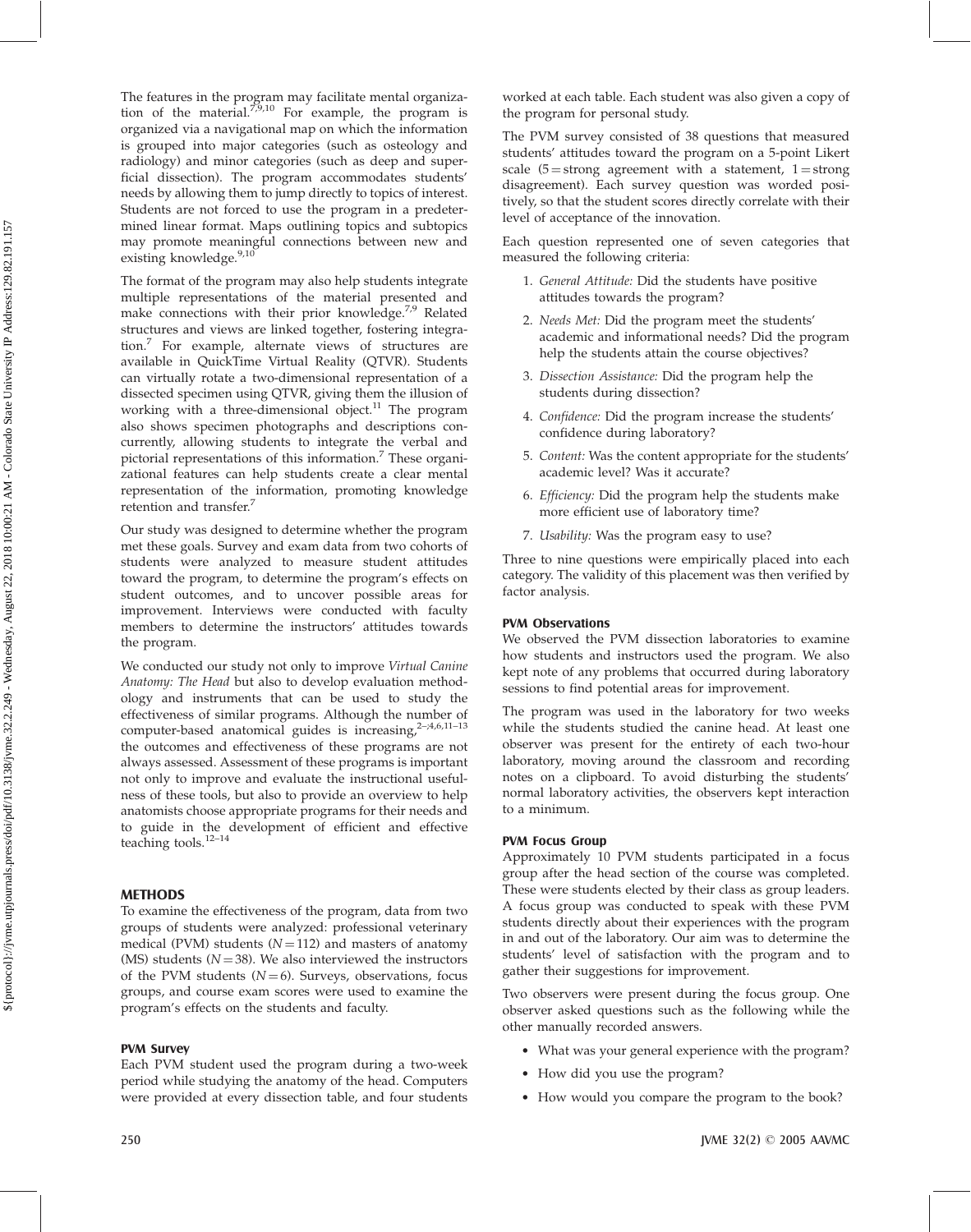The features in the program may facilitate mental organization of the material.<sup>7,9,10</sup> For example, the program is organized via a navigational map on which the information is grouped into major categories (such as osteology and radiology) and minor categories (such as deep and superficial dissection). The program accommodates students' needs by allowing them to jump directly to topics of interest. Students are not forced to use the program in a predetermined linear format. Maps outlining topics and subtopics may promote meaningful connections between new and existing knowledge.<sup>9,10</sup>

The format of the program may also help students integrate multiple representations of the material presented and make connections with their prior knowledge.<sup>7,9</sup> Related structures and views are linked together, fostering integration.<sup>7</sup> For example, alternate views of structures are available in QuickTime Virtual Reality (QTVR). Students can virtually rotate a two-dimensional representation of a dissected specimen using QTVR, giving them the illusion of working with a three-dimensional object.<sup>11</sup> The program also shows specimen photographs and descriptions concurrently, allowing students to integrate the verbal and pictorial representations of this information.<sup>7</sup> These organizational features can help students create a clear mental representation of the information, promoting knowledge retention and transfer.<sup>7</sup>

Our study was designed to determine whether the program met these goals. Survey and exam data from two cohorts of students were analyzed to measure student attitudes toward the program, to determine the program's effects on student outcomes, and to uncover possible areas for improvement. Interviews were conducted with faculty members to determine the instructors' attitudes towards the program.

We conducted our study not only to improve Virtual Canine Anatomy: The Head but also to develop evaluation methodology and instruments that can be used to study the effectiveness of similar programs. Although the number of computer-based anatomical guides is increasing,<sup>2-;4,6,11-13</sup> the outcomes and effectiveness of these programs are not always assessed. Assessment of these programs is important not only to improve and evaluate the instructional usefulness of these tools, but also to provide an overview to help anatomists choose appropriate programs for their needs and to guide in the development of efficient and effective teaching tools.<sup>12-14</sup>

### **METHODS**

To examine the effectiveness of the program, data from two groups of students were analyzed: professional veterinary medical (PVM) students ( $N = 112$ ) and masters of anatomy (MS) students ( $N = 38$ ). We also interviewed the instructors of the PVM students  $(N = 6)$ . Surveys, observations, focus groups, and course exam scores were used to examine the program's effects on the students and faculty.

#### PVM Survey

Each PVM student used the program during a two-week period while studying the anatomy of the head. Computers were provided at every dissection table, and four students worked at each table. Each student was also given a copy of the program for personal study.

The PVM survey consisted of 38 questions that measured students' attitudes toward the program on a 5-point Likert scale  $(5 =$ strong agreement with a statement,  $1 =$ strong disagreement). Each survey question was worded positively, so that the student scores directly correlate with their level of acceptance of the innovation.

Each question represented one of seven categories that measured the following criteria:

- 1. General Attitude: Did the students have positive attitudes towards the program?
- 2. Needs Met: Did the program meet the students' academic and informational needs? Did the program help the students attain the course objectives?
- 3. Dissection Assistance: Did the program help the students during dissection?
- 4. Confidence: Did the program increase the students' confidence during laboratory?
- 5. Content: Was the content appropriate for the students' academic level? Was it accurate?
- 6. Efficiency: Did the program help the students make more efficient use of laboratory time?
- 7. Usability: Was the program easy to use?

Three to nine questions were empirically placed into each category. The validity of this placement was then verified by factor analysis.

#### PVM Observations

We observed the PVM dissection laboratories to examine how students and instructors used the program. We also kept note of any problems that occurred during laboratory sessions to find potential areas for improvement.

The program was used in the laboratory for two weeks while the students studied the canine head. At least one observer was present for the entirety of each two-hour laboratory, moving around the classroom and recording notes on a clipboard. To avoid disturbing the students' normal laboratory activities, the observers kept interaction to a minimum.

#### PVM Focus Group

Approximately 10 PVM students participated in a focus group after the head section of the course was completed. These were students elected by their class as group leaders. A focus group was conducted to speak with these PVM students directly about their experiences with the program in and out of the laboratory. Our aim was to determine the students' level of satisfaction with the program and to gather their suggestions for improvement.

Two observers were present during the focus group. One observer asked questions such as the following while the other manually recorded answers.

- . What was your general experience with the program?
- . How did you use the program?
- . How would you compare the program to the book?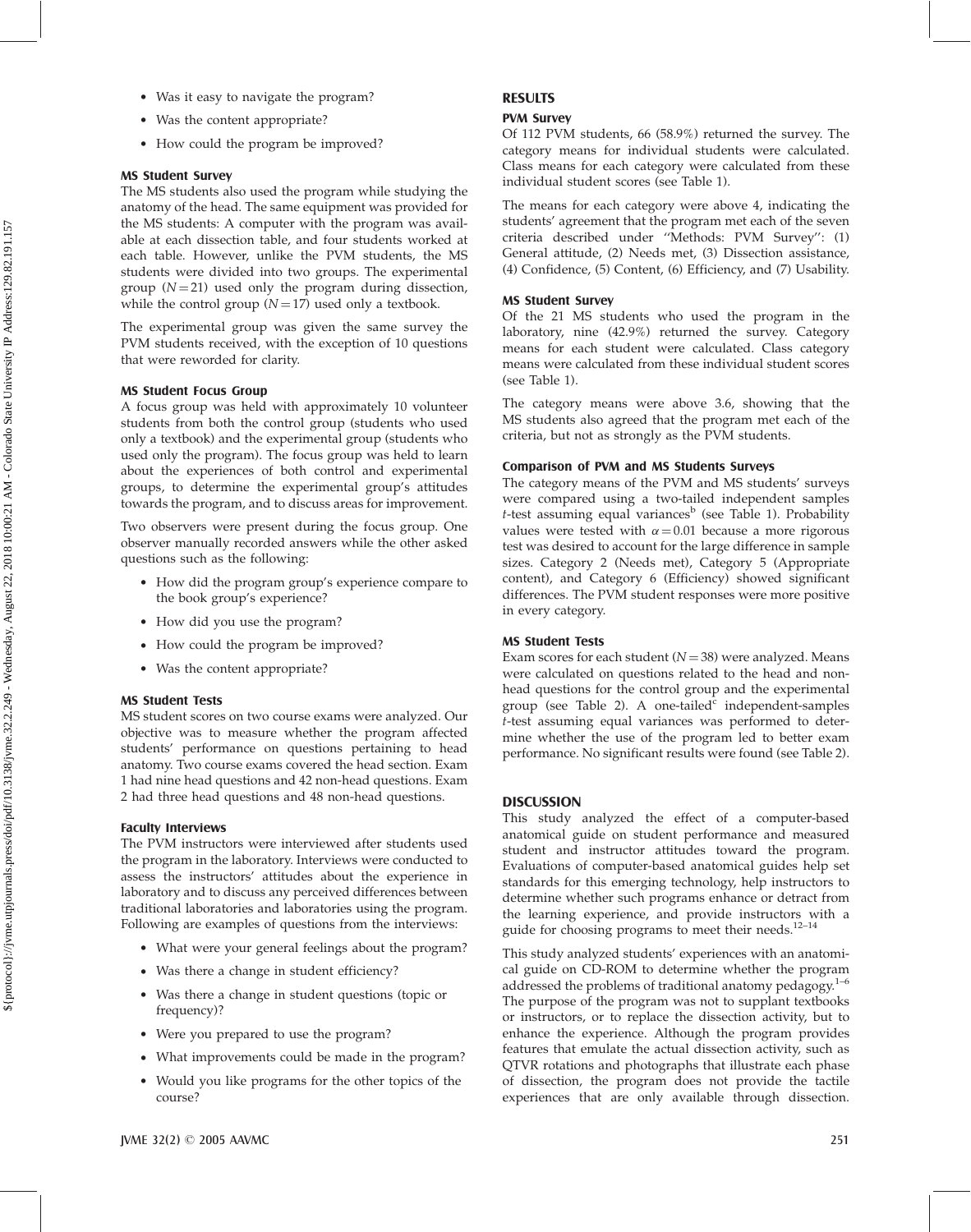- . Was it easy to navigate the program?
- . Was the content appropriate?
- . How could the program be improved?

#### MS Student Survey

The MS students also used the program while studying the anatomy of the head. The same equipment was provided for the MS students: A computer with the program was available at each dissection table, and four students worked at each table. However, unlike the PVM students, the MS students were divided into two groups. The experimental group  $(N = 21)$  used only the program during dissection, while the control group  $(N = 17)$  used only a textbook.

The experimental group was given the same survey the PVM students received, with the exception of 10 questions that were reworded for clarity.

#### MS Student Focus Group

A focus group was held with approximately 10 volunteer students from both the control group (students who used only a textbook) and the experimental group (students who used only the program). The focus group was held to learn about the experiences of both control and experimental groups, to determine the experimental group's attitudes towards the program, and to discuss areas for improvement.

Two observers were present during the focus group. One observer manually recorded answers while the other asked questions such as the following:

- . How did the program group's experience compare to the book group's experience?
- . How did you use the program?
- . How could the program be improved?
- . Was the content appropriate?

#### MS Student Tests

MS student scores on two course exams were analyzed. Our objective was to measure whether the program affected students' performance on questions pertaining to head anatomy. Two course exams covered the head section. Exam 1 had nine head questions and 42 non-head questions. Exam 2 had three head questions and 48 non-head questions.

#### Faculty Interviews

The PVM instructors were interviewed after students used the program in the laboratory. Interviews were conducted to assess the instructors' attitudes about the experience in laboratory and to discuss any perceived differences between traditional laboratories and laboratories using the program. Following are examples of questions from the interviews:

- . What were your general feelings about the program?
- . Was there a change in student efficiency?
- . Was there a change in student questions (topic or frequency)?
- . Were you prepared to use the program?
- . What improvements could be made in the program?
- . Would you like programs for the other topics of the course?

## RESULTS

## PVM Survey

Of 112 PVM students, 66 (58.9%) returned the survey. The category means for individual students were calculated. Class means for each category were calculated from these individual student scores (see Table 1).

The means for each category were above 4, indicating the students' agreement that the program met each of the seven criteria described under ''Methods: PVM Survey'': (1) General attitude, (2) Needs met, (3) Dissection assistance, (4) Confidence, (5) Content, (6) Efficiency, and (7) Usability.

## MS Student Survey

Of the 21 MS students who used the program in the laboratory, nine (42.9%) returned the survey. Category means for each student were calculated. Class category means were calculated from these individual student scores (see Table 1).

The category means were above 3.6, showing that the MS students also agreed that the program met each of the criteria, but not as strongly as the PVM students.

#### Comparison of PVM and MS Students Surveys

The category means of the PVM and MS students' surveys were compared using a two-tailed independent samples  $t$ -test assuming equal variances<sup>b</sup> (see Table 1). Probability values were tested with  $\alpha = 0.01$  because a more rigorous test was desired to account for the large difference in sample sizes. Category 2 (Needs met), Category 5 (Appropriate content), and Category 6 (Efficiency) showed significant differences. The PVM student responses were more positive in every category.

#### MS Student Tests

Exam scores for each student  $(N = 38)$  were analyzed. Means were calculated on questions related to the head and nonhead questions for the control group and the experimental group (see Table 2). A one-tailed $c$  independent-samples t-test assuming equal variances was performed to determine whether the use of the program led to better exam performance. No significant results were found (see Table 2).

#### **DISCUSSION**

This study analyzed the effect of a computer-based anatomical guide on student performance and measured student and instructor attitudes toward the program. Evaluations of computer-based anatomical guides help set standards for this emerging technology, help instructors to determine whether such programs enhance or detract from the learning experience, and provide instructors with a guide for choosing programs to meet their needs.<sup>12-14</sup>

This study analyzed students' experiences with an anatomical guide on CD-ROM to determine whether the program addressed the problems of traditional anatomy pedagogy. $1-6$ The purpose of the program was not to supplant textbooks or instructors, or to replace the dissection activity, but to enhance the experience. Although the program provides features that emulate the actual dissection activity, such as QTVR rotations and photographs that illustrate each phase of dissection, the program does not provide the tactile experiences that are only available through dissection.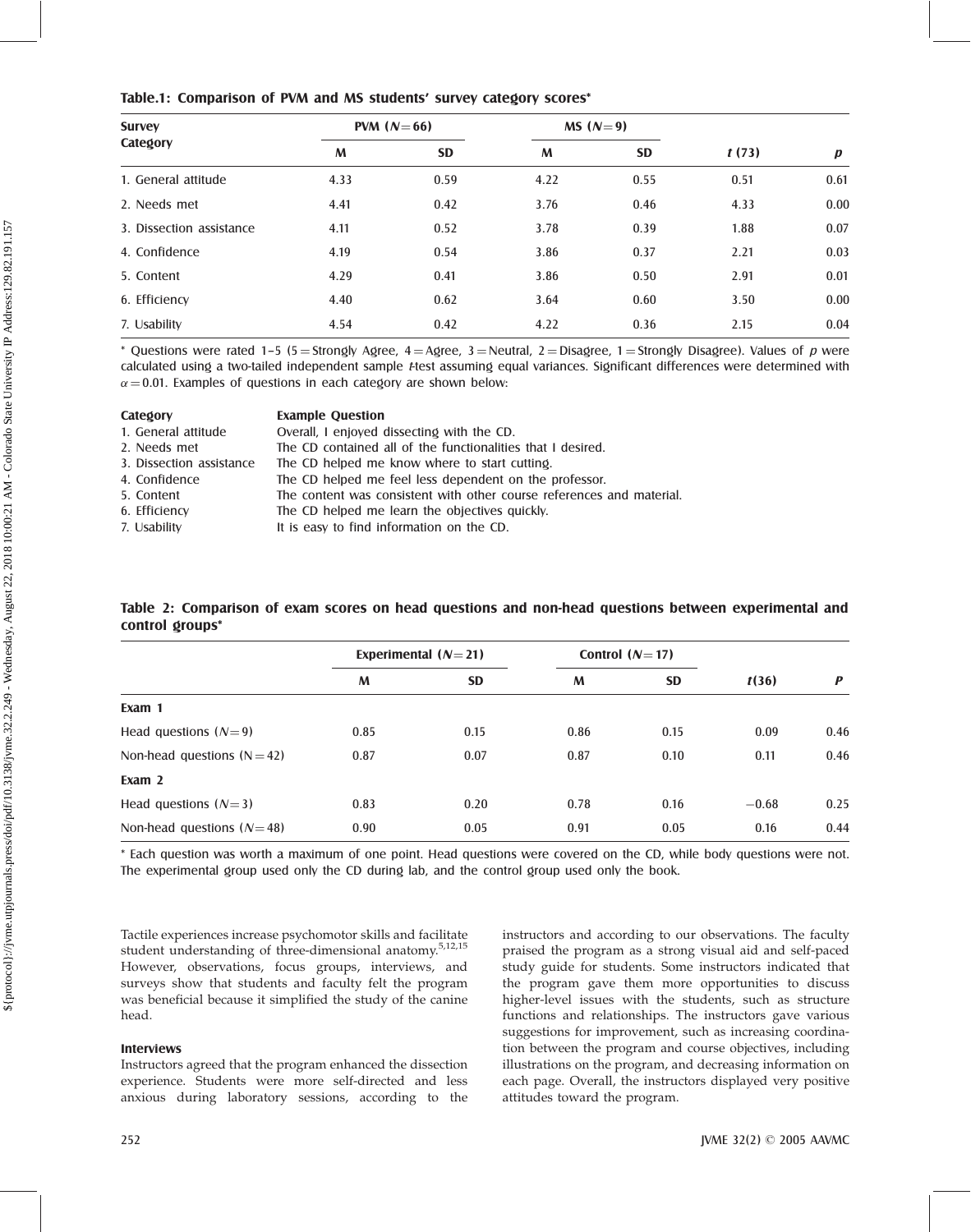|  | Table.1: Comparison of PVM and MS students' survey category scores* |  |  |  |  |  |  |  |
|--|---------------------------------------------------------------------|--|--|--|--|--|--|--|
|--|---------------------------------------------------------------------|--|--|--|--|--|--|--|

| <b>Survey</b>            |      | PVM $(N=66)$ | $MS(N=9)$ |           |       |                  |
|--------------------------|------|--------------|-----------|-----------|-------|------------------|
| Category                 | M    | <b>SD</b>    | M         | <b>SD</b> | t(73) | $\boldsymbol{p}$ |
| 1. General attitude      | 4.33 | 0.59         | 4.22      | 0.55      | 0.51  | 0.61             |
| 2. Needs met             | 4.41 | 0.42         | 3.76      | 0.46      | 4.33  | 0.00             |
| 3. Dissection assistance | 4.11 | 0.52         | 3.78      | 0.39      | 1.88  | 0.07             |
| 4. Confidence            | 4.19 | 0.54         | 3.86      | 0.37      | 2.21  | 0.03             |
| 5. Content               | 4.29 | 0.41         | 3.86      | 0.50      | 2.91  | 0.01             |
| 6. Efficiency            | 4.40 | 0.62         | 3.64      | 0.60      | 3.50  | 0.00             |
| 7. Usability             | 4.54 | 0.42         | 4.22      | 0.36      | 2.15  | 0.04             |

\* Questions were rated 1–5 (5 = Strongly Agree, 4 = Agree, 3 = Neutral, 2 = Disagree, 1 = Strongly Disagree). Values of p were calculated using a two-tailed independent sample t-test assuming equal variances. Significant differences were determined with  $\alpha$  = 0.01. Examples of questions in each category are shown below:

| Category                 | <b>Example Question</b>                                               |
|--------------------------|-----------------------------------------------------------------------|
| 1. General attitude      | Overall, I enjoyed dissecting with the CD.                            |
| 2. Needs met             | The CD contained all of the functionalities that I desired.           |
| 3. Dissection assistance | The CD helped me know where to start cutting.                         |
| 4. Confidence            | The CD helped me feel less dependent on the professor.                |
| 5. Content               | The content was consistent with other course references and material. |
| 6. Efficiency            | The CD helped me learn the objectives quickly.                        |
| 7. Usability             | It is easy to find information on the CD.                             |
|                          |                                                                       |

# Table 2: Comparison of exam scores on head questions and non-head questions between experimental and control groups\*

|                               | Experimental $(N=21)$ |           | Control $(N=17)$ |           |         |      |
|-------------------------------|-----------------------|-----------|------------------|-----------|---------|------|
|                               | M                     | <b>SD</b> | M                | <b>SD</b> | t(36)   | P    |
| Exam 1                        |                       |           |                  |           |         |      |
| Head questions $(N=9)$        | 0.85                  | 0.15      | 0.86             | 0.15      | 0.09    | 0.46 |
| Non-head questions $(N = 42)$ | 0.87                  | 0.07      | 0.87             | 0.10      | 0.11    | 0.46 |
| Exam 2                        |                       |           |                  |           |         |      |
| Head questions $(N=3)$        | 0.83                  | 0.20      | 0.78             | 0.16      | $-0.68$ | 0.25 |
| Non-head questions $(N=48)$   | 0.90                  | 0.05      | 0.91             | 0.05      | 0.16    | 0.44 |

\* Each question was worth a maximum of one point. Head questions were covered on the CD, while body questions were not. The experimental group used only the CD during lab, and the control group used only the book.

Tactile experiences increase psychomotor skills and facilitate student understanding of three-dimensional anatomy.<sup>5,12,15</sup> However, observations, focus groups, interviews, and surveys show that students and faculty felt the program was beneficial because it simplified the study of the canine head.

#### Interviews

Instructors agreed that the program enhanced the dissection experience. Students were more self-directed and less anxious during laboratory sessions, according to the instructors and according to our observations. The faculty praised the program as a strong visual aid and self-paced study guide for students. Some instructors indicated that the program gave them more opportunities to discuss higher-level issues with the students, such as structure functions and relationships. The instructors gave various suggestions for improvement, such as increasing coordination between the program and course objectives, including illustrations on the program, and decreasing information on each page. Overall, the instructors displayed very positive attitudes toward the program.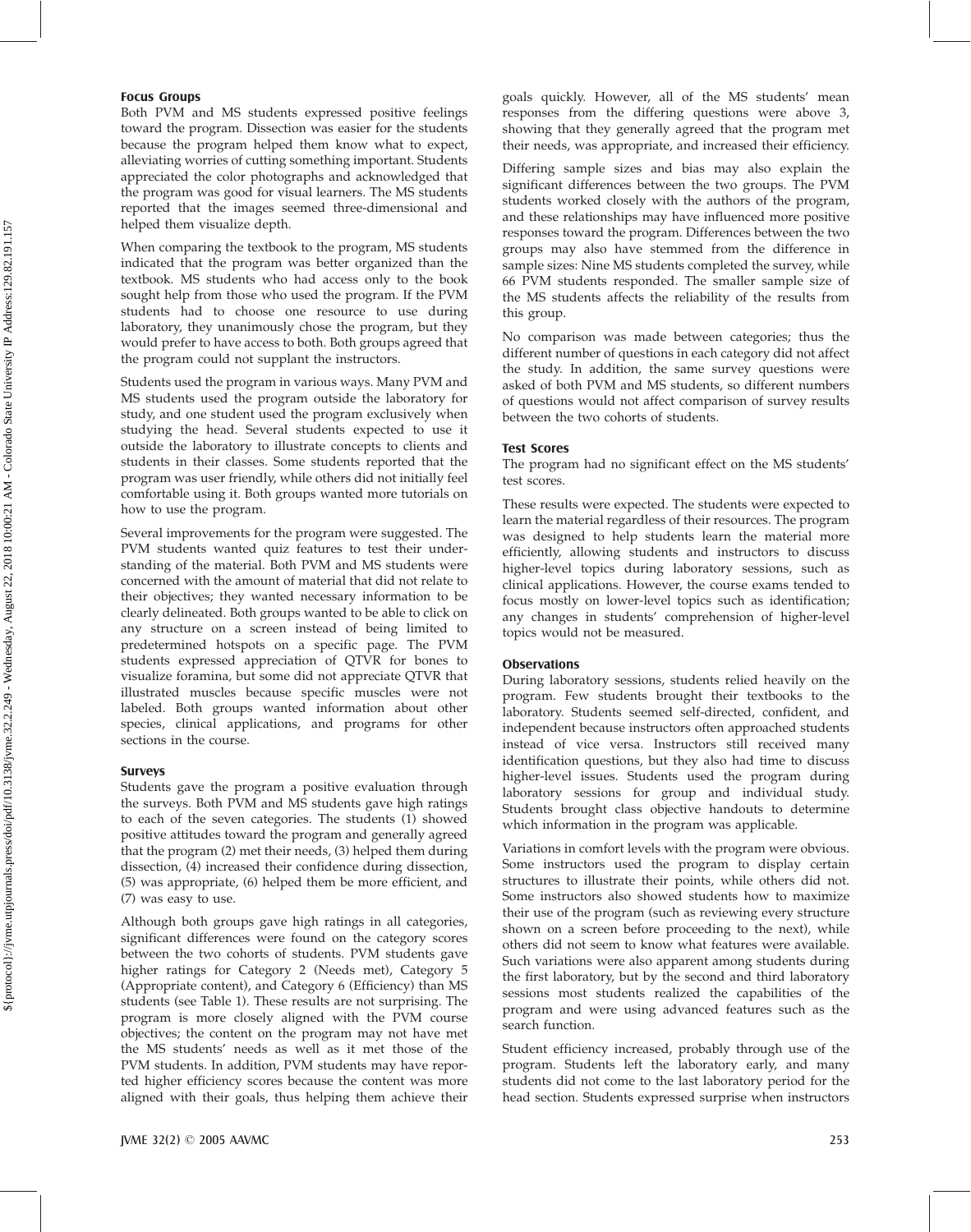#### Focus Groups

Both PVM and MS students expressed positive feelings toward the program. Dissection was easier for the students because the program helped them know what to expect, alleviating worries of cutting something important. Students appreciated the color photographs and acknowledged that the program was good for visual learners. The MS students reported that the images seemed three-dimensional and helped them visualize depth.

When comparing the textbook to the program, MS students indicated that the program was better organized than the textbook. MS students who had access only to the book sought help from those who used the program. If the PVM students had to choose one resource to use during laboratory, they unanimously chose the program, but they would prefer to have access to both. Both groups agreed that the program could not supplant the instructors.

Students used the program in various ways. Many PVM and MS students used the program outside the laboratory for study, and one student used the program exclusively when studying the head. Several students expected to use it outside the laboratory to illustrate concepts to clients and students in their classes. Some students reported that the program was user friendly, while others did not initially feel comfortable using it. Both groups wanted more tutorials on how to use the program.

Several improvements for the program were suggested. The PVM students wanted quiz features to test their understanding of the material. Both PVM and MS students were concerned with the amount of material that did not relate to their objectives; they wanted necessary information to be clearly delineated. Both groups wanted to be able to click on any structure on a screen instead of being limited to predetermined hotspots on a specific page. The PVM students expressed appreciation of QTVR for bones to visualize foramina, but some did not appreciate QTVR that illustrated muscles because specific muscles were not labeled. Both groups wanted information about other species, clinical applications, and programs for other sections in the course.

#### Surveys

Students gave the program a positive evaluation through the surveys. Both PVM and MS students gave high ratings to each of the seven categories. The students (1) showed positive attitudes toward the program and generally agreed that the program (2) met their needs, (3) helped them during dissection, (4) increased their confidence during dissection, (5) was appropriate, (6) helped them be more efficient, and (7) was easy to use.

Although both groups gave high ratings in all categories, significant differences were found on the category scores between the two cohorts of students. PVM students gave higher ratings for Category 2 (Needs met), Category 5 (Appropriate content), and Category 6 (Efficiency) than MS students (see Table 1). These results are not surprising. The program is more closely aligned with the PVM course objectives; the content on the program may not have met the MS students' needs as well as it met those of the PVM students. In addition, PVM students may have reported higher efficiency scores because the content was more aligned with their goals, thus helping them achieve their goals quickly. However, all of the MS students' mean responses from the differing questions were above 3, showing that they generally agreed that the program met their needs, was appropriate, and increased their efficiency.

Differing sample sizes and bias may also explain the significant differences between the two groups. The PVM students worked closely with the authors of the program, and these relationships may have influenced more positive responses toward the program. Differences between the two groups may also have stemmed from the difference in sample sizes: Nine MS students completed the survey, while 66 PVM students responded. The smaller sample size of the MS students affects the reliability of the results from this group.

No comparison was made between categories; thus the different number of questions in each category did not affect the study. In addition, the same survey questions were asked of both PVM and MS students, so different numbers of questions would not affect comparison of survey results between the two cohorts of students.

#### Test Scores

The program had no significant effect on the MS students' test scores.

These results were expected. The students were expected to learn the material regardless of their resources. The program was designed to help students learn the material more efficiently, allowing students and instructors to discuss higher-level topics during laboratory sessions, such as clinical applications. However, the course exams tended to focus mostly on lower-level topics such as identification; any changes in students' comprehension of higher-level topics would not be measured.

#### **Observations**

During laboratory sessions, students relied heavily on the program. Few students brought their textbooks to the laboratory. Students seemed self-directed, confident, and independent because instructors often approached students instead of vice versa. Instructors still received many identification questions, but they also had time to discuss higher-level issues. Students used the program during laboratory sessions for group and individual study. Students brought class objective handouts to determine which information in the program was applicable.

Variations in comfort levels with the program were obvious. Some instructors used the program to display certain structures to illustrate their points, while others did not. Some instructors also showed students how to maximize their use of the program (such as reviewing every structure shown on a screen before proceeding to the next), while others did not seem to know what features were available. Such variations were also apparent among students during the first laboratory, but by the second and third laboratory sessions most students realized the capabilities of the program and were using advanced features such as the search function.

Student efficiency increased, probably through use of the program. Students left the laboratory early, and many students did not come to the last laboratory period for the head section. Students expressed surprise when instructors